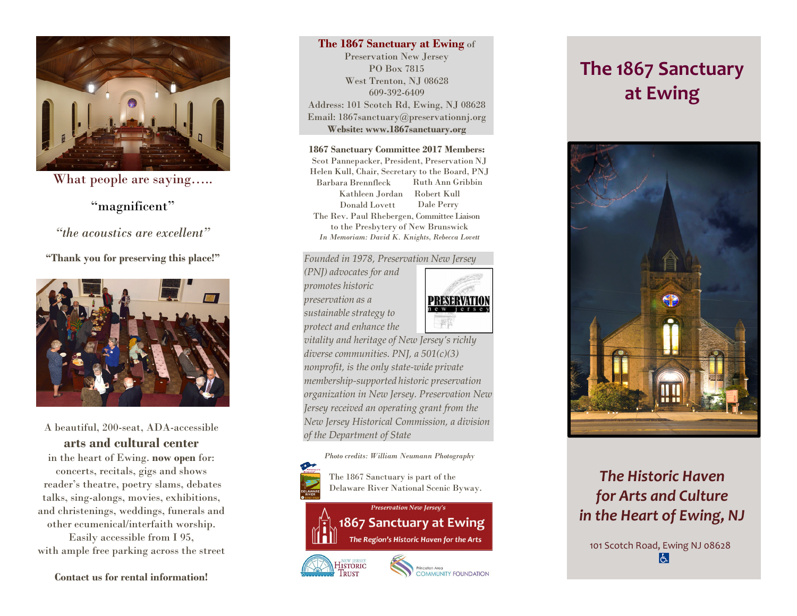

What people are saying…..

## "magnificent"

*"the acoustics are excellent"* 

**"Thank you for preserving this place!"** 



A beautiful, 200-seat, ADA-accessible **arts and cultural center**

in the heart of Ewing. **now open** for: concerts, recitals, gigs and shows reader's theatre, poetry slams, debates talks, sing-alongs, movies, exhibitions, and christenings, weddings, funerals and other ecumenical/interfaith worship. Easily accessible from I 95, with ample free parking across the street

**Contact us for rental information!**

### **The 1867 Sanctuary at Ewing** of

Preservation New Jersey PO Box 7815 West Trenton, NJ 08628 609-392-6409Address: 101 Scotch Rd, Ewing, NJ 08628 Email: 1867sanctuary@preservationnj.org **Website: www.1867sanctuary.org** 

#### **1867 Sanctuary Committee 2017 Members:**

Scot Pannepacker, President, Preservation NJ Helen Kull, Chair, Secretary to the Board, PNJ Barbara Brennfleck Ruth Ann Gribbin Kathleen Jordan Robert Kull Donald Lovett Dale Perry The Rev. Paul Rhebergen, Committee Liaison to the Presbytery of New Brunswick *In Memoriam: David K. Knights, Rebecca Lovett* 

### *Founded in 1978, Preservation New Jersey*

*(PNJ) advocates for and promotes historic preservation as a sustainable strategy to protect and enhance the* 



*vitality and heritage of New Jersey's richly diverse communities. PNJ, a 501(c)(3) nonprofit, is the only state-wide private membership-supported historic preservation organization in New Jersey. Preservation New Jersey received an operating grant from the New Jersey Historical Commission, a division of the Department of State* 



# **The 1867 Sanctuary at Ewing**



## *The Historic Haven for Arts and Culture in the Heart of Ewing, NJ*

101 Scotch Road, Ewing NJ 08628 $|\epsilon|$